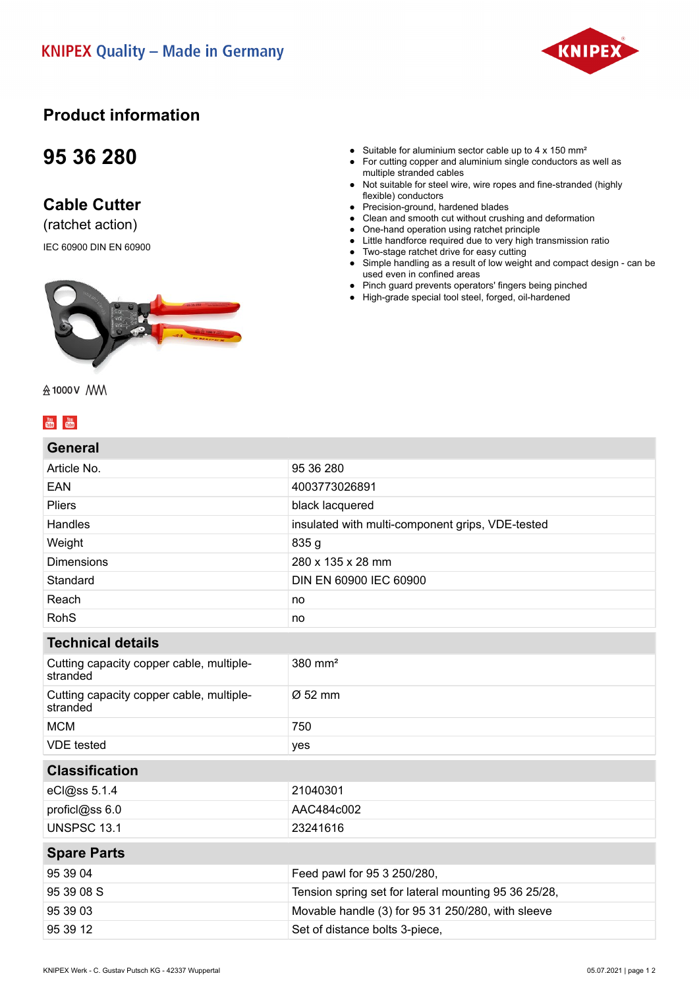

### **Product information**

## **95 36 280**

### **Cable Cutter**

(ratchet action)

IEC 60900 DIN EN 60900



#### • Suitable for aluminium sector cable up to  $4 \times 150$  mm<sup>2</sup>

- For cutting copper and aluminium single conductors as well as multiple stranded cables
- Not suitable for steel wire, wire ropes and fine-stranded (highly flexible) conductors
- Precision-ground, hardened blades
- Clean and smooth cut without crushing and deformation
- One-hand operation using ratchet principle ● Little handforce required due to very high transmission ratio
- Two-stage ratchet drive for easy cutting
- Simple handling as a result of low weight and compact design can be used even in confined areas
- Pinch guard prevents operators' fingers being pinched
- High-grade special tool steel, forged, oil-hardened

会1000V /WW

### $\begin{array}{|c|c|c|}\hline \text{You} & \text{You} \\\hline \text{OUB} & \text{OUB} \\\hline \end{array}$

| General                                              |                                                      |
|------------------------------------------------------|------------------------------------------------------|
| Article No.                                          | 95 36 280                                            |
| <b>EAN</b>                                           | 4003773026891                                        |
| <b>Pliers</b>                                        | black lacquered                                      |
| Handles                                              | insulated with multi-component grips, VDE-tested     |
| Weight                                               | 835 g                                                |
| <b>Dimensions</b>                                    | 280 x 135 x 28 mm                                    |
| Standard                                             | DIN EN 60900 IEC 60900                               |
| Reach                                                | no                                                   |
| <b>RohS</b>                                          | no                                                   |
| <b>Technical details</b>                             |                                                      |
| Cutting capacity copper cable, multiple-<br>stranded | $380$ mm <sup>2</sup>                                |
| Cutting capacity copper cable, multiple-<br>stranded | $\varnothing$ 52 mm                                  |
| <b>MCM</b>                                           | 750                                                  |
| <b>VDE</b> tested                                    | yes                                                  |
| <b>Classification</b>                                |                                                      |
| eCl@ss 5.1.4                                         | 21040301                                             |
| proficl@ss 6.0                                       | AAC484c002                                           |
| <b>UNSPSC 13.1</b>                                   | 23241616                                             |
| <b>Spare Parts</b>                                   |                                                      |
| 95 39 04                                             | Feed pawl for 95 3 250/280,                          |
| 95 39 08 S                                           | Tension spring set for lateral mounting 95 36 25/28, |
| 95 39 03                                             | Movable handle (3) for 95 31 250/280, with sleeve    |
| 95 39 12                                             | Set of distance bolts 3-piece,                       |
|                                                      |                                                      |